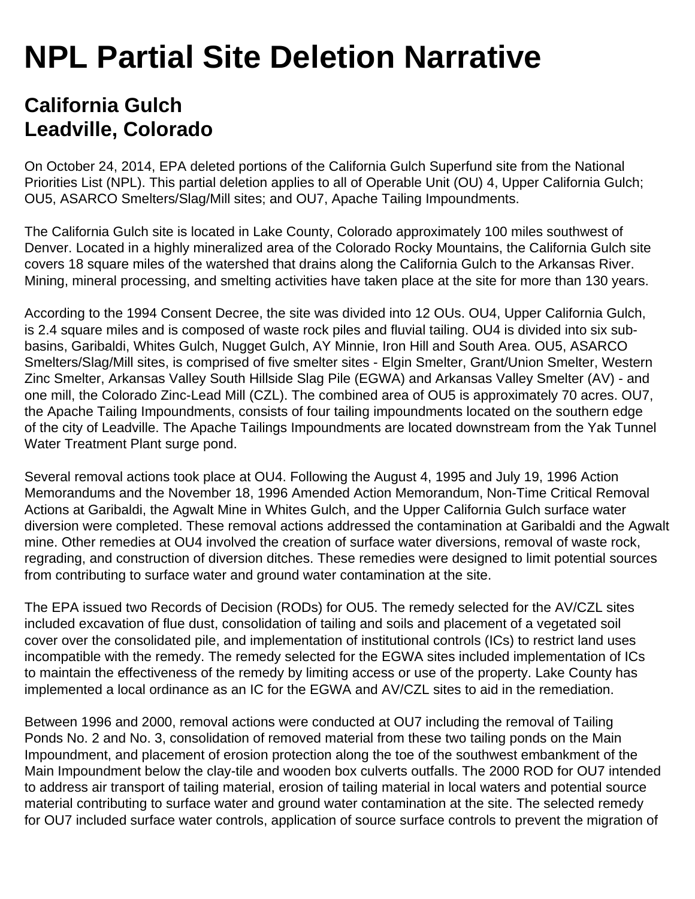## **NPL Partial Site Deletion Narrative**

## **California Gulch Leadville, Colorado**

On October 24, 2014, EPA deleted portions of the California Gulch Superfund site from the National Priorities List (NPL). This partial deletion applies to all of Operable Unit (OU) 4, Upper California Gulch; OU5, ASARCO Smelters/Slag/Mill sites; and OU7, Apache Tailing Impoundments.

The California Gulch site is located in Lake County, Colorado approximately 100 miles southwest of Denver. Located in a highly mineralized area of the Colorado Rocky Mountains, the California Gulch site covers 18 square miles of the watershed that drains along the California Gulch to the Arkansas River. Mining, mineral processing, and smelting activities have taken place at the site for more than 130 years.

According to the 1994 Consent Decree, the site was divided into 12 OUs. OU4, Upper California Gulch, is 2.4 square miles and is composed of waste rock piles and fluvial tailing. OU4 is divided into six subbasins, Garibaldi, Whites Gulch, Nugget Gulch, AY Minnie, Iron Hill and South Area. OU5, ASARCO Smelters/Slag/Mill sites, is comprised of five smelter sites - Elgin Smelter, Grant/Union Smelter, Western Zinc Smelter, Arkansas Valley South Hillside Slag Pile (EGWA) and Arkansas Valley Smelter (AV) - and one mill, the Colorado Zinc-Lead Mill (CZL). The combined area of OU5 is approximately 70 acres. OU7, the Apache Tailing Impoundments, consists of four tailing impoundments located on the southern edge of the city of Leadville. The Apache Tailings Impoundments are located downstream from the Yak Tunnel Water Treatment Plant surge pond.

Several removal actions took place at OU4. Following the August 4, 1995 and July 19, 1996 Action Memorandums and the November 18, 1996 Amended Action Memorandum, Non-Time Critical Removal Actions at Garibaldi, the Agwalt Mine in Whites Gulch, and the Upper California Gulch surface water diversion were completed. These removal actions addressed the contamination at Garibaldi and the Agwalt mine. Other remedies at OU4 involved the creation of surface water diversions, removal of waste rock, regrading, and construction of diversion ditches. These remedies were designed to limit potential sources from contributing to surface water and ground water contamination at the site.

The EPA issued two Records of Decision (RODs) for OU5. The remedy selected for the AV/CZL sites included excavation of flue dust, consolidation of tailing and soils and placement of a vegetated soil cover over the consolidated pile, and implementation of institutional controls (ICs) to restrict land uses incompatible with the remedy. The remedy selected for the EGWA sites included implementation of ICs to maintain the effectiveness of the remedy by limiting access or use of the property. Lake County has implemented a local ordinance as an IC for the EGWA and AV/CZL sites to aid in the remediation.

Between 1996 and 2000, removal actions were conducted at OU7 including the removal of Tailing Ponds No. 2 and No. 3, consolidation of removed material from these two tailing ponds on the Main Impoundment, and placement of erosion protection along the toe of the southwest embankment of the Main Impoundment below the clay-tile and wooden box culverts outfalls. The 2000 ROD for OU7 intended to address air transport of tailing material, erosion of tailing material in local waters and potential source material contributing to surface water and ground water contamination at the site. The selected remedy for OU7 included surface water controls, application of source surface controls to prevent the migration of